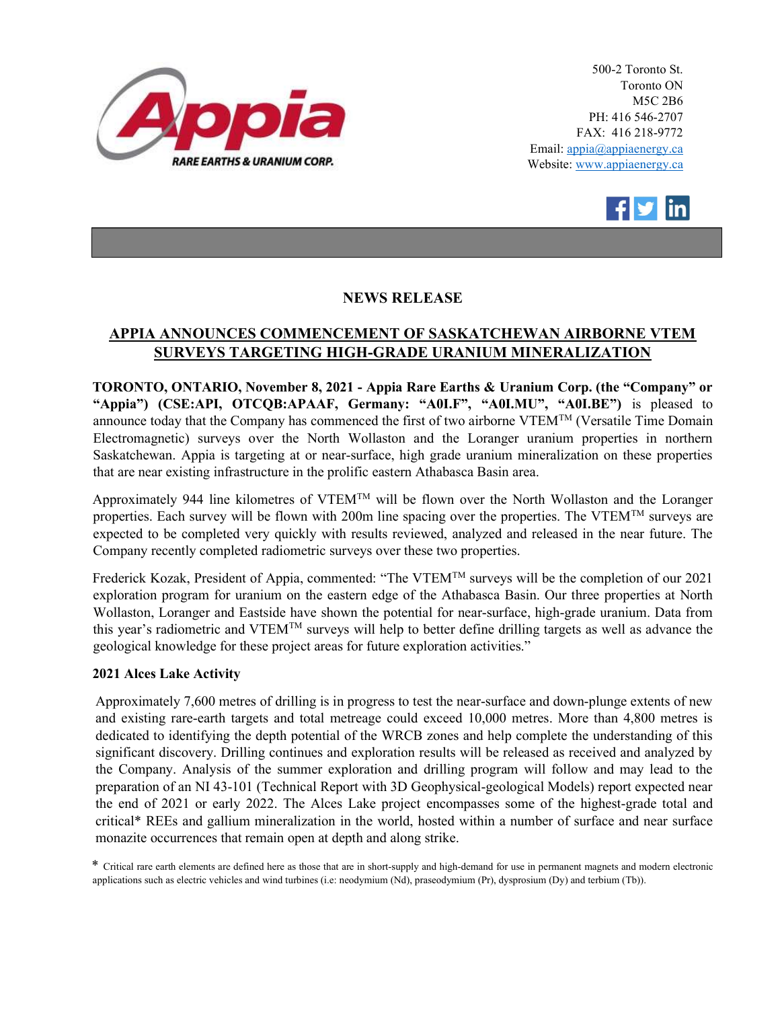

500-2 Toronto St. Toronto ON M5C 2B6 PH: 416 546-2707 FAX: 416 218-9772 Email: appia@appiaenergy.ca Website: www.appiaenergy.ca



## NEWS RELEASE

## APPIA ANNOUNCES COMMENCEMENT OF SASKATCHEWAN AIRBORNE VTEM SURVEYS TARGETING HIGH-GRADE URANIUM MINERALIZATION

TORONTO, ONTARIO, November 8, 2021 - Appia Rare Earths & Uranium Corp. (the "Company" or "Appia") (CSE:API, OTCQB:APAAF, Germany: "A0I.F", "A0I.MU", "A0I.BE") is pleased to announce today that the Company has commenced the first of two airborne VTEM<sup>TM</sup> (Versatile Time Domain Electromagnetic) surveys over the North Wollaston and the Loranger uranium properties in northern Saskatchewan. Appia is targeting at or near-surface, high grade uranium mineralization on these properties that are near existing infrastructure in the prolific eastern Athabasca Basin area.

Approximately 944 line kilometres of VTEM<sup>TM</sup> will be flown over the North Wollaston and the Loranger properties. Each survey will be flown with 200m line spacing over the properties. The VTEM<sup>TM</sup> surveys are expected to be completed very quickly with results reviewed, analyzed and released in the near future. The Company recently completed radiometric surveys over these two properties.

Frederick Kozak, President of Appia, commented: "The VTEMTM surveys will be the completion of our 2021 exploration program for uranium on the eastern edge of the Athabasca Basin. Our three properties at North Wollaston, Loranger and Eastside have shown the potential for near-surface, high-grade uranium. Data from this year's radiometric and VTEM<sup>TM</sup> surveys will help to better define drilling targets as well as advance the geological knowledge for these project areas for future exploration activities."

## 2021 Alces Lake Activity

Approximately 7,600 metres of drilling is in progress to test the near-surface and down-plunge extents of new and existing rare-earth targets and total metreage could exceed 10,000 metres. More than 4,800 metres is dedicated to identifying the depth potential of the WRCB zones and help complete the understanding of this significant discovery. Drilling continues and exploration results will be released as received and analyzed by the Company. Analysis of the summer exploration and drilling program will follow and may lead to the preparation of an NI 43-101 (Technical Report with 3D Geophysical-geological Models) report expected near the end of 2021 or early 2022. The Alces Lake project encompasses some of the highest-grade total and critical\* REEs and gallium mineralization in the world, hosted within a number of surface and near surface monazite occurrences that remain open at depth and along strike.

\* Critical rare earth elements are defined here as those that are in short-supply and high-demand for use in permanent magnets and modern electronic applications such as electric vehicles and wind turbines (i.e: neodymium (Nd), praseodymium (Pr), dysprosium (Dy) and terbium (Tb)).